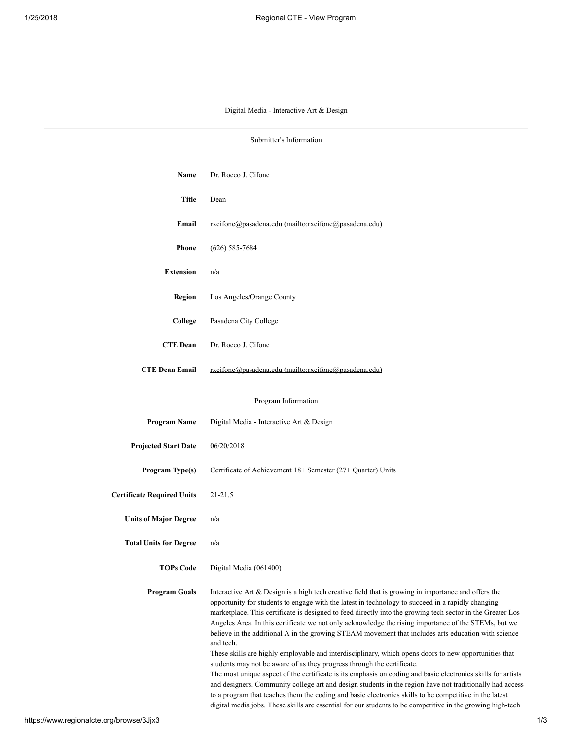## Digital Media - Interactive Art & Design

| Submitter's Information           |                                                                                                                                                                                                                                                                                                                                                                                                                                                                                                                                                                                                                                                                                                                                                                                                                                                                                                                                                                                                                                                                                                                                                                                           |  |
|-----------------------------------|-------------------------------------------------------------------------------------------------------------------------------------------------------------------------------------------------------------------------------------------------------------------------------------------------------------------------------------------------------------------------------------------------------------------------------------------------------------------------------------------------------------------------------------------------------------------------------------------------------------------------------------------------------------------------------------------------------------------------------------------------------------------------------------------------------------------------------------------------------------------------------------------------------------------------------------------------------------------------------------------------------------------------------------------------------------------------------------------------------------------------------------------------------------------------------------------|--|
|                                   |                                                                                                                                                                                                                                                                                                                                                                                                                                                                                                                                                                                                                                                                                                                                                                                                                                                                                                                                                                                                                                                                                                                                                                                           |  |
| Name                              | Dr. Rocco J. Cifone                                                                                                                                                                                                                                                                                                                                                                                                                                                                                                                                                                                                                                                                                                                                                                                                                                                                                                                                                                                                                                                                                                                                                                       |  |
| <b>Title</b>                      | Dean                                                                                                                                                                                                                                                                                                                                                                                                                                                                                                                                                                                                                                                                                                                                                                                                                                                                                                                                                                                                                                                                                                                                                                                      |  |
| Email                             | rxcifone@pasadena.edu (mailto:rxcifone@pasadena.edu)                                                                                                                                                                                                                                                                                                                                                                                                                                                                                                                                                                                                                                                                                                                                                                                                                                                                                                                                                                                                                                                                                                                                      |  |
| <b>Phone</b>                      | $(626) 585 - 7684$                                                                                                                                                                                                                                                                                                                                                                                                                                                                                                                                                                                                                                                                                                                                                                                                                                                                                                                                                                                                                                                                                                                                                                        |  |
| <b>Extension</b>                  | n/a                                                                                                                                                                                                                                                                                                                                                                                                                                                                                                                                                                                                                                                                                                                                                                                                                                                                                                                                                                                                                                                                                                                                                                                       |  |
| Region                            | Los Angeles/Orange County                                                                                                                                                                                                                                                                                                                                                                                                                                                                                                                                                                                                                                                                                                                                                                                                                                                                                                                                                                                                                                                                                                                                                                 |  |
| College                           | Pasadena City College                                                                                                                                                                                                                                                                                                                                                                                                                                                                                                                                                                                                                                                                                                                                                                                                                                                                                                                                                                                                                                                                                                                                                                     |  |
| <b>CTE Dean</b>                   | Dr. Rocco J. Cifone                                                                                                                                                                                                                                                                                                                                                                                                                                                                                                                                                                                                                                                                                                                                                                                                                                                                                                                                                                                                                                                                                                                                                                       |  |
| <b>CTE Dean Email</b>             | rxcifone@pasadena.edu (mailto:rxcifone@pasadena.edu)                                                                                                                                                                                                                                                                                                                                                                                                                                                                                                                                                                                                                                                                                                                                                                                                                                                                                                                                                                                                                                                                                                                                      |  |
|                                   |                                                                                                                                                                                                                                                                                                                                                                                                                                                                                                                                                                                                                                                                                                                                                                                                                                                                                                                                                                                                                                                                                                                                                                                           |  |
| Program Information               |                                                                                                                                                                                                                                                                                                                                                                                                                                                                                                                                                                                                                                                                                                                                                                                                                                                                                                                                                                                                                                                                                                                                                                                           |  |
| <b>Program Name</b>               | Digital Media - Interactive Art & Design                                                                                                                                                                                                                                                                                                                                                                                                                                                                                                                                                                                                                                                                                                                                                                                                                                                                                                                                                                                                                                                                                                                                                  |  |
| <b>Projected Start Date</b>       | 06/20/2018                                                                                                                                                                                                                                                                                                                                                                                                                                                                                                                                                                                                                                                                                                                                                                                                                                                                                                                                                                                                                                                                                                                                                                                |  |
| Program Type(s)                   | Certificate of Achievement 18+ Semester (27+ Quarter) Units                                                                                                                                                                                                                                                                                                                                                                                                                                                                                                                                                                                                                                                                                                                                                                                                                                                                                                                                                                                                                                                                                                                               |  |
| <b>Certificate Required Units</b> | $21 - 21.5$                                                                                                                                                                                                                                                                                                                                                                                                                                                                                                                                                                                                                                                                                                                                                                                                                                                                                                                                                                                                                                                                                                                                                                               |  |
| <b>Units of Major Degree</b>      | n/a                                                                                                                                                                                                                                                                                                                                                                                                                                                                                                                                                                                                                                                                                                                                                                                                                                                                                                                                                                                                                                                                                                                                                                                       |  |
| <b>Total Units for Degree</b>     | n/a                                                                                                                                                                                                                                                                                                                                                                                                                                                                                                                                                                                                                                                                                                                                                                                                                                                                                                                                                                                                                                                                                                                                                                                       |  |
|                                   |                                                                                                                                                                                                                                                                                                                                                                                                                                                                                                                                                                                                                                                                                                                                                                                                                                                                                                                                                                                                                                                                                                                                                                                           |  |
| <b>TOPs Code</b>                  | Digital Media (061400)                                                                                                                                                                                                                                                                                                                                                                                                                                                                                                                                                                                                                                                                                                                                                                                                                                                                                                                                                                                                                                                                                                                                                                    |  |
| <b>Program Goals</b>              | Interactive Art & Design is a high tech creative field that is growing in importance and offers the<br>opportunity for students to engage with the latest in technology to succeed in a rapidly changing<br>marketplace. This certificate is designed to feed directly into the growing tech sector in the Greater Los<br>Angeles Area. In this certificate we not only acknowledge the rising importance of the STEMs, but we<br>believe in the additional A in the growing STEAM movement that includes arts education with science<br>and tech.<br>These skills are highly employable and interdisciplinary, which opens doors to new opportunities that<br>students may not be aware of as they progress through the certificate.<br>The most unique aspect of the certificate is its emphasis on coding and basic electronics skills for artists<br>and designers. Community college art and design students in the region have not traditionally had access<br>to a program that teaches them the coding and basic electronics skills to be competitive in the latest<br>digital media jobs. These skills are essential for our students to be competitive in the growing high-tech |  |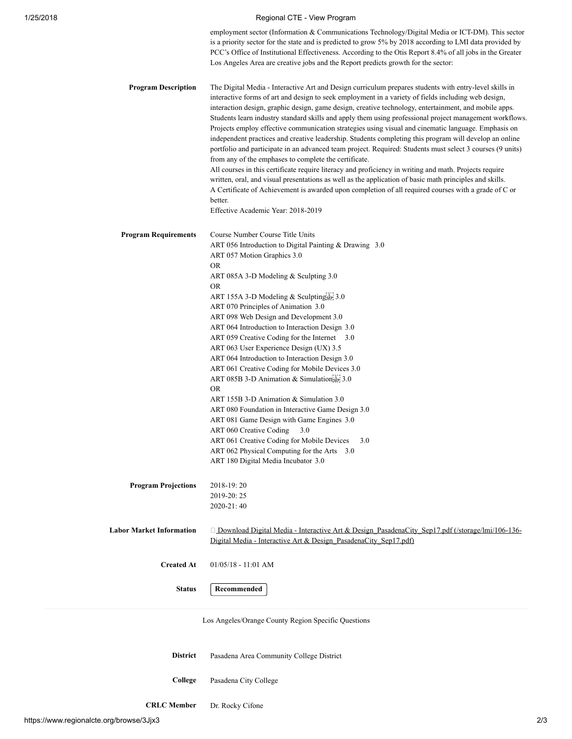## 1/25/2018 Regional CTE - View Program

employment sector (Information & Communications Technology/Digital Media or ICT-DM). This sector is a priority sector for the state and is predicted to grow 5% by 2018 according to LMI data provided by PCC's Office of Institutional Effectiveness. According to the Otis Report 8.4% of all jobs in the Greater Los Angeles Area are creative jobs and the Report predicts growth for the sector:

Program Description The Digital Media - Interactive Art and Design curriculum prepares students with entry-level skills in interactive forms of art and design to seek employment in a variety of fields including web design, interaction design, graphic design, game design, creative technology, entertainment, and mobile apps. Students learn industry standard skills and apply them using professional project management workflows. Projects employ effective communication strategies using visual and cinematic language. Emphasis on independent practices and creative leadership. Students completing this program will develop an online portfolio and participate in an advanced team project. Required: Students must select 3 courses (9 units) from any of the emphases to complete the certificate.

> All courses in this certificate require literacy and proficiency in writing and math. Projects require written, oral, and visual presentations as well as the application of basic math principles and skills. A Certificate of Achievement is awarded upon completion of all required courses with a grade of C or better.

Effective Academic Year: 2018-2019

| <b>Program Requirements</b>     | Course Number Course Title Units                                                                                                                                           |
|---------------------------------|----------------------------------------------------------------------------------------------------------------------------------------------------------------------------|
|                                 | ART 056 Introduction to Digital Painting & Drawing 3.0                                                                                                                     |
|                                 | ART 057 Motion Graphics 3.0                                                                                                                                                |
|                                 | <b>OR</b>                                                                                                                                                                  |
|                                 | ART 085A 3-D Modeling & Sculpting 3.0                                                                                                                                      |
|                                 | <b>OR</b>                                                                                                                                                                  |
|                                 | ART 155A 3-D Modeling & Sculptingsin 3.0                                                                                                                                   |
|                                 | ART 070 Principles of Animation 3.0                                                                                                                                        |
|                                 | ART 098 Web Design and Development 3.0                                                                                                                                     |
|                                 | ART 064 Introduction to Interaction Design 3.0                                                                                                                             |
|                                 | ART 059 Creative Coding for the Internet 3.0                                                                                                                               |
|                                 | ART 063 User Experience Design (UX) 3.5                                                                                                                                    |
|                                 | ART 064 Introduction to Interaction Design 3.0                                                                                                                             |
|                                 | ART 061 Creative Coding for Mobile Devices 3.0                                                                                                                             |
|                                 | ART 085B 3-D Animation & SimulationsEP: 3.0                                                                                                                                |
|                                 | OR.                                                                                                                                                                        |
|                                 | ART 155B 3-D Animation & Simulation 3.0                                                                                                                                    |
|                                 | ART 080 Foundation in Interactive Game Design 3.0                                                                                                                          |
|                                 | ART 081 Game Design with Game Engines 3.0                                                                                                                                  |
|                                 | ART 060 Creative Coding<br>3.0                                                                                                                                             |
|                                 | ART 061 Creative Coding for Mobile Devices<br>3.0                                                                                                                          |
|                                 | ART 062 Physical Computing for the Arts 3.0                                                                                                                                |
|                                 | ART 180 Digital Media Incubator 3.0                                                                                                                                        |
| <b>Program Projections</b>      | 2018-19:20                                                                                                                                                                 |
|                                 | 2019-20:25                                                                                                                                                                 |
|                                 | 2020-21:40                                                                                                                                                                 |
|                                 |                                                                                                                                                                            |
| <b>Labor Market Information</b> | $\Box$ Download Digital Media - Interactive Art & Design PasadenaCity Sep17.pdf (/storage/lmi/106-136-<br>Digital Media - Interactive Art & Design PasadenaCity Sep17.pdf) |
|                                 |                                                                                                                                                                            |
| <b>Created At</b>               | $01/05/18 - 11:01$ AM                                                                                                                                                      |
| <b>Status</b>                   | Recommended                                                                                                                                                                |
|                                 |                                                                                                                                                                            |

Los Angeles/Orange County Region Specific Questions

- District Pasadena Area Community College District College Pasadena City College
- CRLC Member Dr. Rocky Cifone